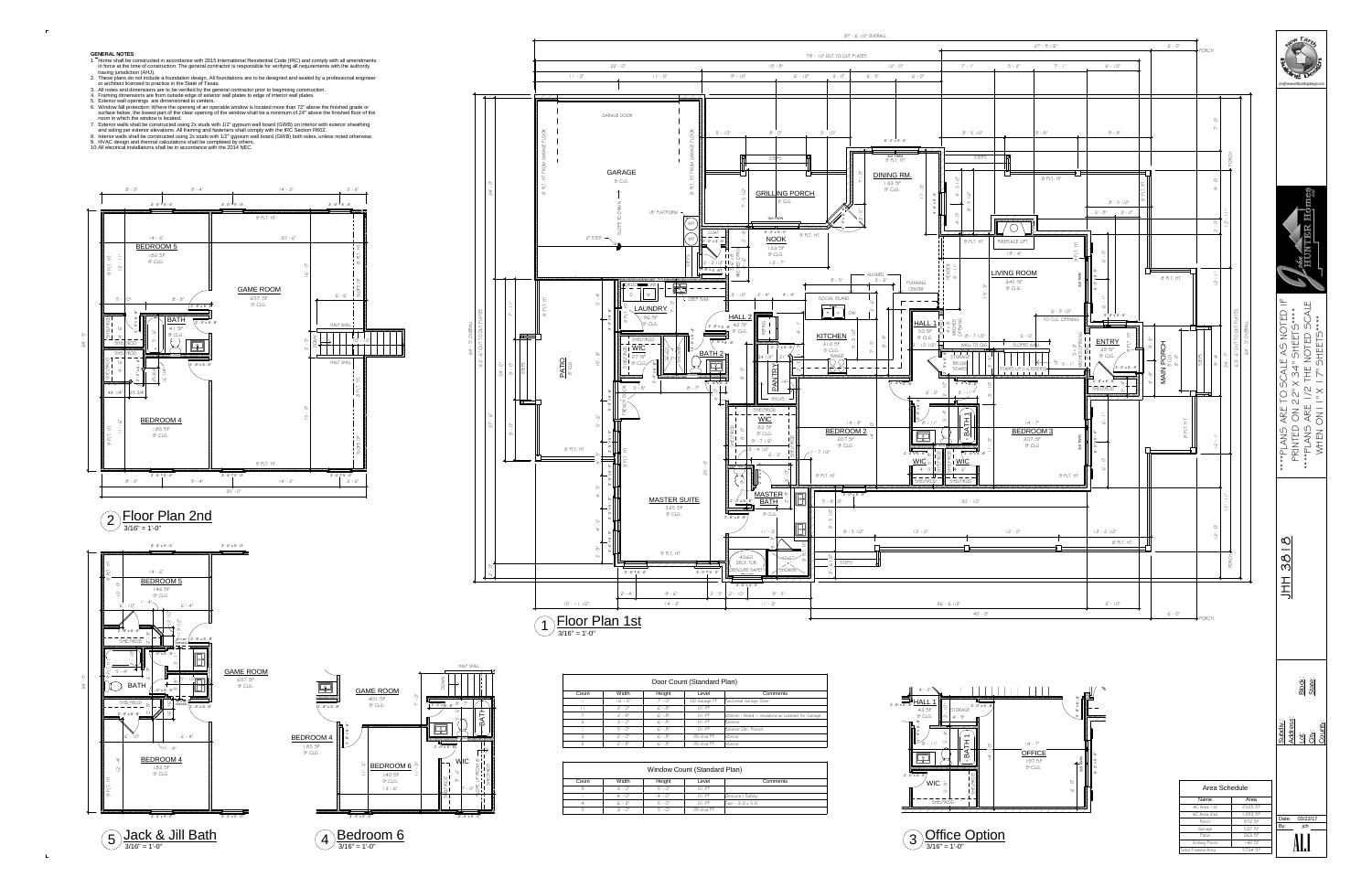*24' - 0"*

*2' - 0"*

*64' - 5" OVERALL*

*87' - 6 1/2" OVERALL*



 $3/16" = 1'-0"$ 22) Floor Plan 2nd<br><sup>3/16" = 1'-0"</sup>



| Door Count (Standard Plan) |              |            |              |                                                   |  |  |  |
|----------------------------|--------------|------------|--------------|---------------------------------------------------|--|--|--|
| Count                      | Width        | Height     | Level        | Comments                                          |  |  |  |
|                            | $ G' - O'' $ | $7' - 0''$ | 00-Garage FF | Sectional Garage Door                             |  |  |  |
|                            | $2' - 0''$   | $G - 8''$  | $O$ I - FF   |                                                   |  |  |  |
|                            | $2 - 8$ "    | $G - 8''$  | $O$ I-FF     | Interior - Need I Insulated w/ Lockset for Garage |  |  |  |
| 3                          | $3' - 0''$   | $G - 8''$  | $O$ I-FF     | Exterior                                          |  |  |  |
|                            | $5' - 0''$   | $G - 8''$  | $O$ I -FF    | Exterior Dbl. French                              |  |  |  |
| 3                          | $2' - 0''$   | $G - 8''$  | 05-2nd FF    | <b>I</b> Interior                                 |  |  |  |
| っ                          | $2 - 8$ "    | $G - 8''$  | $O5-2nd$ FF  | Interior                                          |  |  |  |

| Window Count (Standard Plan) |              |            |            |                         |  |  |  |  |
|------------------------------|--------------|------------|------------|-------------------------|--|--|--|--|
| Count                        | Width        | Height     | Level      | Comments                |  |  |  |  |
| 9                            | $3' - 0''$   | $5' - 0''$ | $O$ I - FF |                         |  |  |  |  |
|                              | $4' - 0''$   | $4' - 0''$ | $O$ I - FF | Obscure / Safety        |  |  |  |  |
| 4                            | $G - 2"$     | $5' - 0''$ | $O$ I - FF | $Twin - 3-0 \times 5-0$ |  |  |  |  |
| 9                            | $3'$ - $0''$ | $5' - 0''$ | 05-2nd FF  |                         |  |  |  |  |







 $3/16" = 1'-0"$ 



 $3/16" = 1'-0"$ 

**GENERAL NOTES**:

- 1. Home shall be constructed in accordance with 2015 International Residential Code (IRC) and comply with all amendmentsin force at the time of construction. The general contractor is responsible for verifying all requirements with the authority<br>has the included at the COLUS having jurisdiction (AHJ).
- 2. These plans do not include a foundation design. All foundations are to be designed and sealed by a professional engineer or architect licensed to practice in the State of Texas.
- 3. All notes and dimensions are to be verified by the general contractor prior to beginning construction.
- 4. Framing dimensions are from outside edge of exterior wall plates to edge of interior wall plates.
- 
- 5. Exterior wall openings are dimensioned to centers. 6. Window fall protection: Where the opening of an operable window is located more than 72" above the finished grade or surface below, the lowest part of the clear opening of the window shall be a minimum of 24" above the finished floor of theroom in which the window is located.
- 7. Exterior walls shall be constructed using 2x studs with 1/2" gypsum wall board (GWB) on interior with exterior sheathing<br>. and siding per exterior elevations. All framing and fasteners shall comply with the IRC Section 8. Interior walls shall be constructed using 2x studs with 1/2" gypsum wall board (GWB) both sides, unless noted otherwise.
- 9. HVAC design and thermal calculations shall be completed by others.
- 10.All electrical installations shall be in accordance with the 2014 NEC.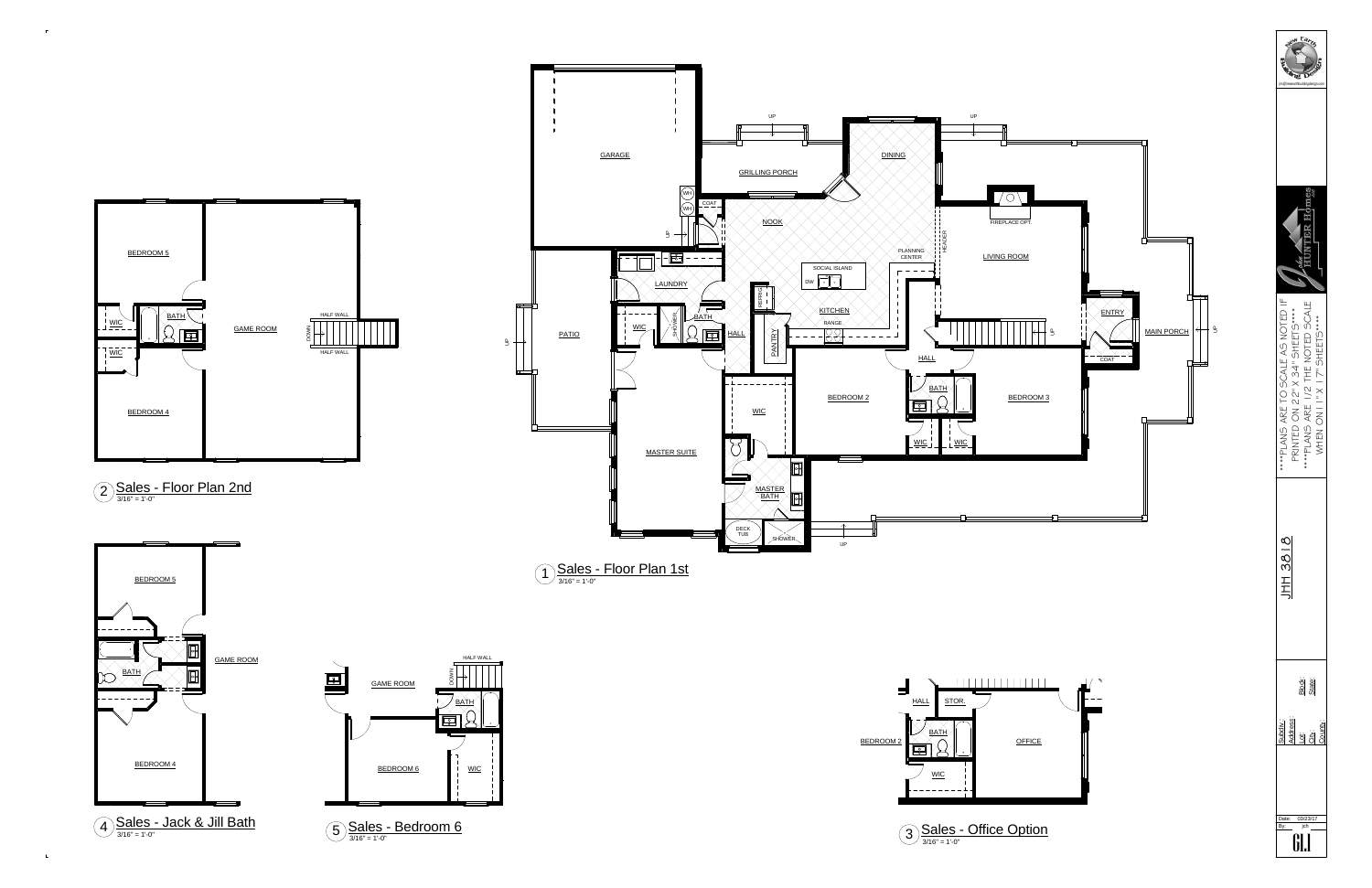

| 2 Sales - Floor Plan 2nd |  |  |
|--------------------------|--|--|
|                          |  |  |



 $\mathbb{L}$